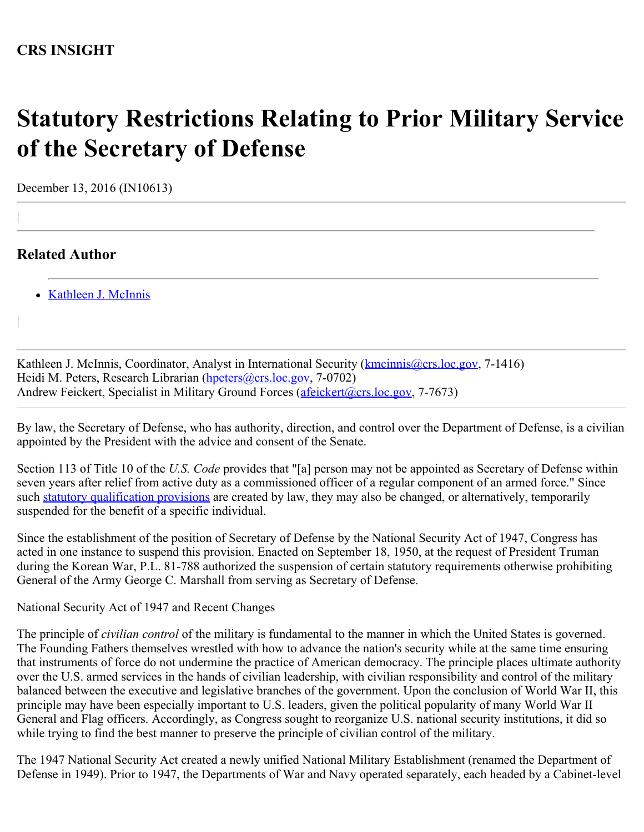## **CRS INSIGHT**

## **Statutory Restrictions Relating to Prior Military Service of the Secretary of Defense**

December 13, 2016 (IN10613)

## **Related Author**

|

|

[Kathleen J. McInnis](http://www.crs.gov/Author/index?id=105037)

Kathleen J. McInnis, Coordinator, Analyst in International Security (*[kmcinnis@crs.loc.gov](mailto:kmcinnis@crs.loc.gov), 7-1416*) Heidi M. Peters, Research Librarian [\(hpeters@crs.loc.gov](mailto:hpeters@crs.loc.gov), 7-0702) Andrew Feickert, Specialist in Military Ground Forces [\(afeickert@crs.loc.gov](mailto:afeickert@crs.loc.gov), 7-7673)

By law, the Secretary of Defense, who has authority, direction, and control over the Department of Defense, is a civilian appointed by the President with the advice and consent of the Senate.

Section 113 of Title 10 of the *U.S. Code* provides that "[a] person may not be appointed as Secretary of Defense within seven years after relief from active duty as a commissioned officer of a regular component of an armed force." Since such [statutory qualification provisions](https://www.fas.org/sgp/crs/misc/RL33886.pdf) are created by law, they may also be changed, or alternatively, temporarily suspended for the benefit of a specific individual.

Since the establishment of the position of Secretary of Defense by the National Security Act of 1947, Congress has acted in one instance to suspend this provision. Enacted on September 18, 1950, at the request of President Truman during the Korean War, P.L. 81-788 authorized the suspension of certain statutory requirements otherwise prohibiting General of the Army George C. Marshall from serving as Secretary of Defense.

National Security Act of 1947 and Recent Changes

The principle of *civilian control* of the military is fundamental to the manner in which the United States is governed. The Founding Fathers themselves wrestled with how to advance the nation's security while at the same time ensuring that instruments of force do not undermine the practice of American democracy. The principle places ultimate authority over the U.S. armed services in the hands of civilian leadership, with civilian responsibility and control of the military balanced between the executive and legislative branches of the government. Upon the conclusion of World War II, this principle may have been especially important to U.S. leaders, given the political popularity of many World War II General and Flag officers. Accordingly, as Congress sought to reorganize U.S. national security institutions, it did so while trying to find the best manner to preserve the principle of civilian control of the military.

The 1947 National Security Act created a newly unified National Military Establishment (renamed the Department of Defense in 1949). Prior to 1947, the Departments of War and Navy operated separately, each headed by a Cabinet-level